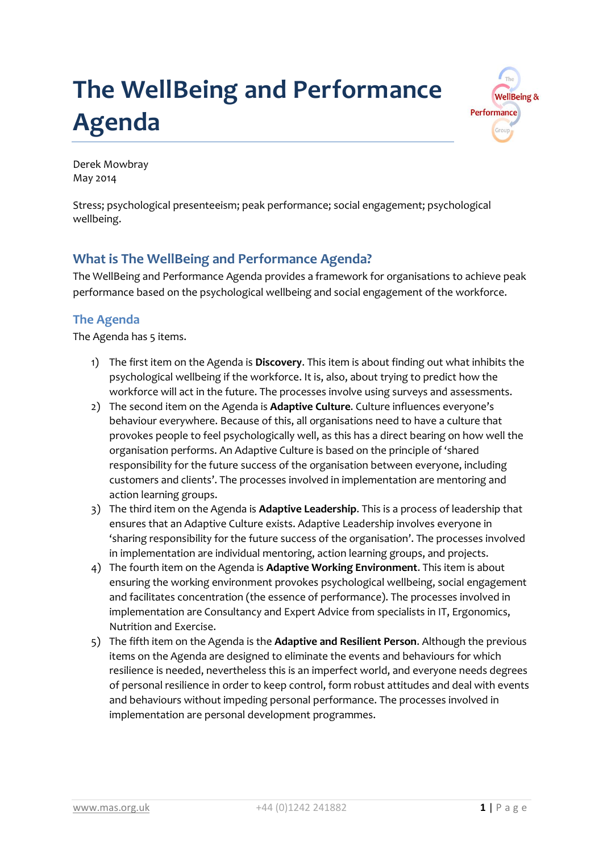# **The WellBeing and Performance Agenda**



Derek Mowbray May 2014

Stress; psychological presenteeism; peak performance; social engagement; psychological wellbeing.

## **What is The WellBeing and Performance Agenda?**

The WellBeing and Performance Agenda provides a framework for organisations to achieve peak performance based on the psychological wellbeing and social engagement of the workforce.

## **The Agenda**

The Agenda has 5 items.

- 1) The first item on the Agenda is **Discovery**. This item is about finding out what inhibits the psychological wellbeing if the workforce. It is, also, about trying to predict how the workforce will act in the future. The processes involve using surveys and assessments.
- 2) The second item on the Agenda is **Adaptive Culture**. Culture influences everyone's behaviour everywhere. Because of this, all organisations need to have a culture that provokes people to feel psychologically well, as this has a direct bearing on how well the organisation performs. An Adaptive Culture is based on the principle of 'shared responsibility for the future success of the organisation between everyone, including customers and clients'. The processes involved in implementation are mentoring and action learning groups.
- 3) The third item on the Agenda is **Adaptive Leadership**. This is a process of leadership that ensures that an Adaptive Culture exists. Adaptive Leadership involves everyone in 'sharing responsibility for the future success of the organisation'. The processes involved in implementation are individual mentoring, action learning groups, and projects.
- 4) The fourth item on the Agenda is **Adaptive Working Environment**. This item is about ensuring the working environment provokes psychological wellbeing, social engagement and facilitates concentration (the essence of performance). The processes involved in implementation are Consultancy and Expert Advice from specialists in IT, Ergonomics, Nutrition and Exercise.
- 5) The fifth item on the Agenda is the **Adaptive and Resilient Person**. Although the previous items on the Agenda are designed to eliminate the events and behaviours for which resilience is needed, nevertheless this is an imperfect world, and everyone needs degrees of personal resilience in order to keep control, form robust attitudes and deal with events and behaviours without impeding personal performance. The processes involved in implementation are personal development programmes.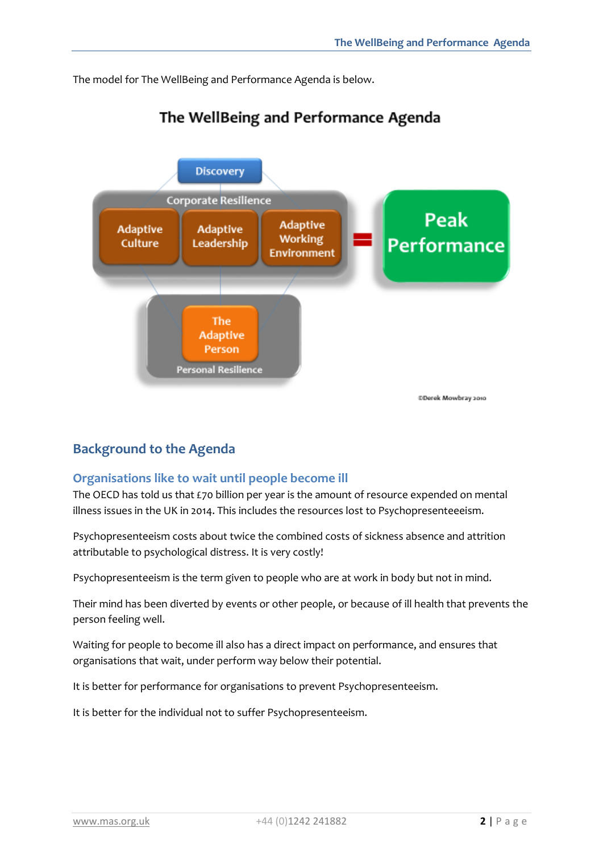The model for The WellBeing and Performance Agenda is below.



## The WellBeing and Performance Agenda

## **Background to the Agenda**

### **Organisations like to wait until people become ill**

The OECD has told us that £70 billion per year is the amount of resource expended on mental illness issues in the UK in 2014. This includes the resources lost to Psychopresenteeeism.

Psychopresenteeism costs about twice the combined costs of sickness absence and attrition attributable to psychological distress. It is very costly!

Psychopresenteeism is the term given to people who are at work in body but not in mind.

Their mind has been diverted by events or other people, or because of ill health that prevents the person feeling well.

Waiting for people to become ill also has a direct impact on performance, and ensures that organisations that wait, under perform way below their potential.

It is better for performance for organisations to prevent Psychopresenteeism.

It is better for the individual not to suffer Psychopresenteeism.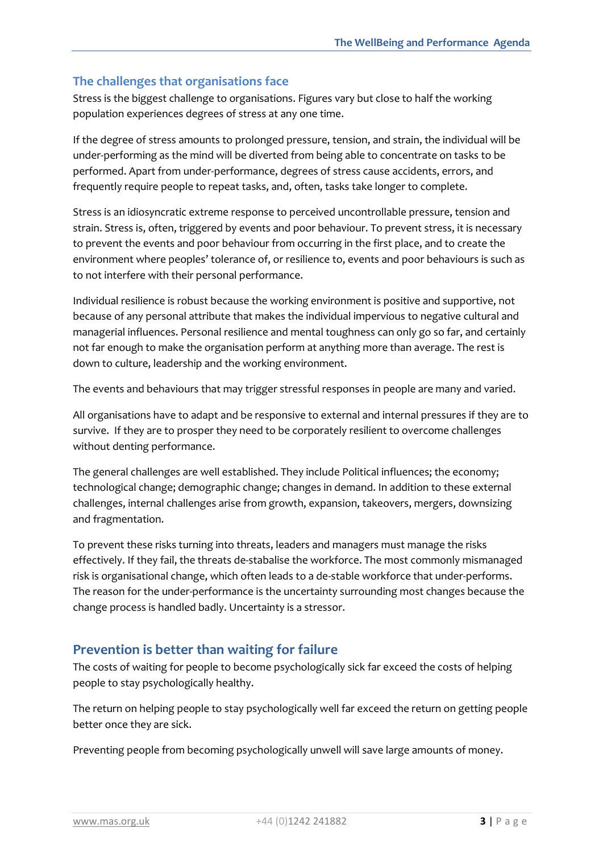#### **The challenges that organisations face**

Stress is the biggest challenge to organisations. Figures vary but close to half the working population experiences degrees of stress at any one time.

If the degree of stress amounts to prolonged pressure, tension, and strain, the individual will be under-performing as the mind will be diverted from being able to concentrate on tasks to be performed. Apart from under-performance, degrees of stress cause accidents, errors, and frequently require people to repeat tasks, and, often, tasks take longer to complete.

Stress is an idiosyncratic extreme response to perceived uncontrollable pressure, tension and strain. Stress is, often, triggered by events and poor behaviour. To prevent stress, it is necessary to prevent the events and poor behaviour from occurring in the first place, and to create the environment where peoples' tolerance of, or resilience to, events and poor behaviours is such as to not interfere with their personal performance.

Individual resilience is robust because the working environment is positive and supportive, not because of any personal attribute that makes the individual impervious to negative cultural and managerial influences. Personal resilience and mental toughness can only go so far, and certainly not far enough to make the organisation perform at anything more than average. The rest is down to culture, leadership and the working environment.

The events and behaviours that may trigger stressful responses in people are many and varied.

All organisations have to adapt and be responsive to external and internal pressures if they are to survive. If they are to prosper they need to be corporately resilient to overcome challenges without denting performance.

The general challenges are well established. They include Political influences; the economy; technological change; demographic change; changes in demand. In addition to these external challenges, internal challenges arise from growth, expansion, takeovers, mergers, downsizing and fragmentation.

To prevent these risks turning into threats, leaders and managers must manage the risks effectively. If they fail, the threats de-stabalise the workforce. The most commonly mismanaged risk is organisational change, which often leads to a de-stable workforce that under-performs. The reason for the under-performance is the uncertainty surrounding most changes because the change process is handled badly. Uncertainty is a stressor.

## **Prevention is better than waiting for failure**

The costs of waiting for people to become psychologically sick far exceed the costs of helping people to stay psychologically healthy.

The return on helping people to stay psychologically well far exceed the return on getting people better once they are sick.

Preventing people from becoming psychologically unwell will save large amounts of money.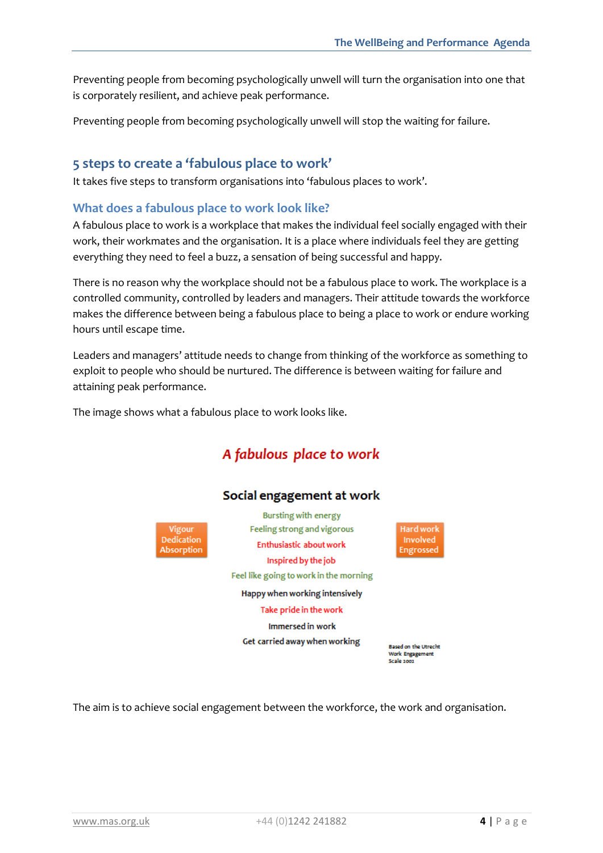Preventing people from becoming psychologically unwell will turn the organisation into one that is corporately resilient, and achieve peak performance.

Preventing people from becoming psychologically unwell will stop the waiting for failure.

#### **5 steps to create a 'fabulous place to work'**

It takes five steps to transform organisations into 'fabulous places to work'.

#### **What does a fabulous place to work look like?**

A fabulous place to work is a workplace that makes the individual feel socially engaged with their work, their workmates and the organisation. It is a place where individuals feel they are getting everything they need to feel a buzz, a sensation of being successful and happy.

There is no reason why the workplace should not be a fabulous place to work. The workplace is a controlled community, controlled by leaders and managers. Their attitude towards the workforce makes the difference between being a fabulous place to being a place to work or endure working hours until escape time.

Leaders and managers' attitude needs to change from thinking of the workforce as something to exploit to people who should be nurtured. The difference is between waiting for failure and attaining peak performance.

The image shows what a fabulous place to work looks like.

## A fabulous place to work



Vigour Dedication Absorption

Feeling strong and vigorous Enthusiastic about work Inspired by the job Feel like going to work in the morning Happy when working intensively Take pride in the work Immersed in work

Get carried away when working

Hard work Involved Engrossed

**Based on the Utrecht** Work Engagement Scale 2002

The aim is to achieve social engagement between the workforce, the work and organisation.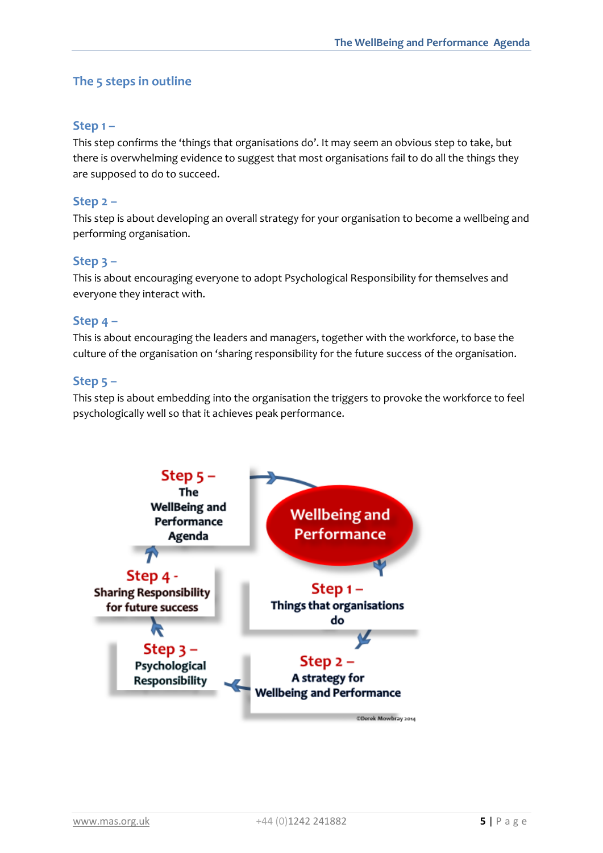### **The 5 steps in outline**

#### **Step 1 –**

This step confirms the 'things that organisations do'. It may seem an obvious step to take, but there is overwhelming evidence to suggest that most organisations fail to do all the things they are supposed to do to succeed.

#### **Step 2 –**

This step is about developing an overall strategy for your organisation to become a wellbeing and performing organisation.

#### **Step 3 –**

This is about encouraging everyone to adopt Psychological Responsibility for themselves and everyone they interact with.

#### **Step 4 –**

This is about encouraging the leaders and managers, together with the workforce, to base the culture of the organisation on 'sharing responsibility for the future success of the organisation.

#### **Step 5 –**

This step is about embedding into the organisation the triggers to provoke the workforce to feel psychologically well so that it achieves peak performance.

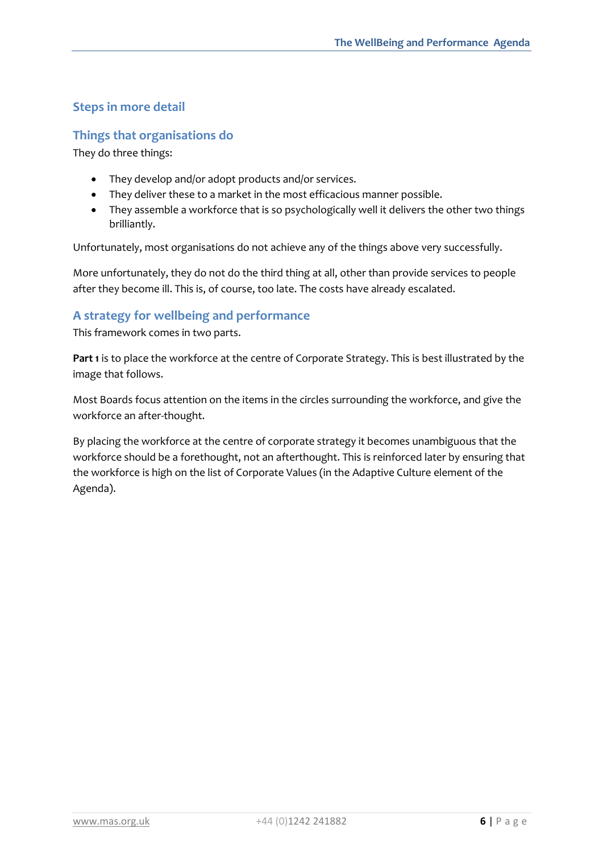### **Steps in more detail**

#### **Things that organisations do**

They do three things:

- They develop and/or adopt products and/or services.
- They deliver these to a market in the most efficacious manner possible.
- They assemble a workforce that is so psychologically well it delivers the other two things brilliantly.

Unfortunately, most organisations do not achieve any of the things above very successfully.

More unfortunately, they do not do the third thing at all, other than provide services to people after they become ill. This is, of course, too late. The costs have already escalated.

#### **A strategy for wellbeing and performance**

This framework comes in two parts.

**Part 1** is to place the workforce at the centre of Corporate Strategy. This is best illustrated by the image that follows.

Most Boards focus attention on the items in the circles surrounding the workforce, and give the workforce an after-thought.

By placing the workforce at the centre of corporate strategy it becomes unambiguous that the workforce should be a forethought, not an afterthought. This is reinforced later by ensuring that the workforce is high on the list of Corporate Values (in the Adaptive Culture element of the Agenda).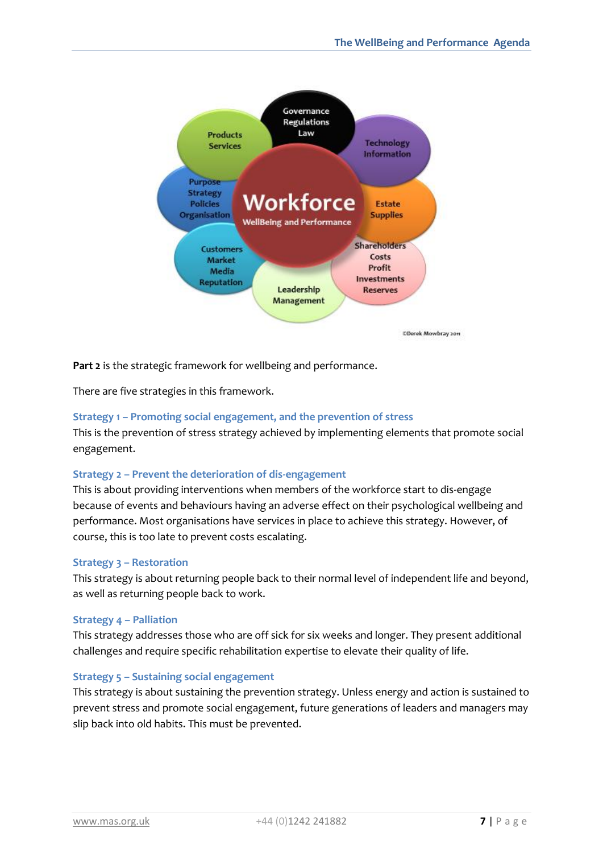

**Part 2** is the strategic framework for wellbeing and performance.

There are five strategies in this framework.

#### **Strategy 1 – Promoting social engagement, and the prevention of stress**

This is the prevention of stress strategy achieved by implementing elements that promote social engagement.

#### **Strategy 2 – Prevent the deterioration of dis-engagement**

This is about providing interventions when members of the workforce start to dis-engage because of events and behaviours having an adverse effect on their psychological wellbeing and performance. Most organisations have services in place to achieve this strategy. However, of course, this is too late to prevent costs escalating.

#### **Strategy 3 – Restoration**

This strategy is about returning people back to their normal level of independent life and beyond, as well as returning people back to work.

#### **Strategy 4 – Palliation**

This strategy addresses those who are off sick for six weeks and longer. They present additional challenges and require specific rehabilitation expertise to elevate their quality of life.

#### **Strategy 5 – Sustaining social engagement**

This strategy is about sustaining the prevention strategy. Unless energy and action is sustained to prevent stress and promote social engagement, future generations of leaders and managers may slip back into old habits. This must be prevented.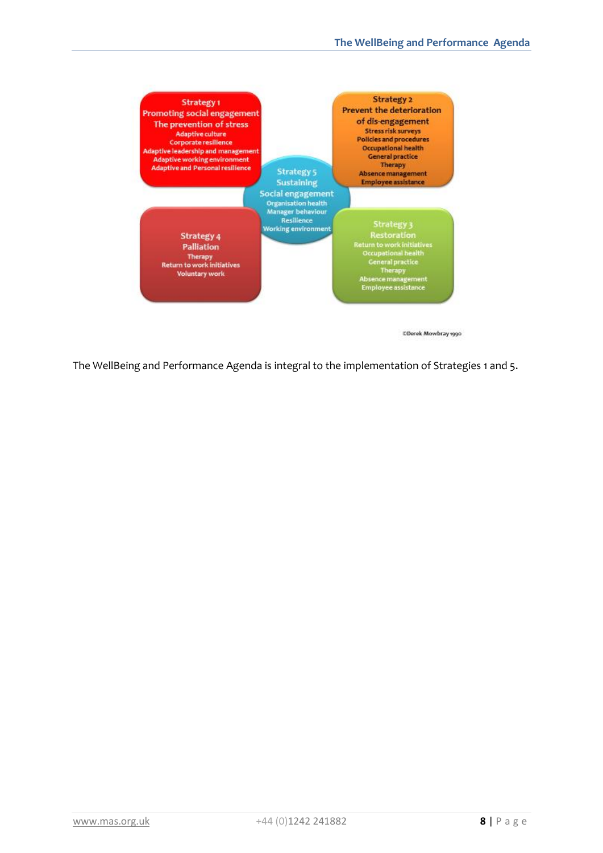

The WellBeing and Performance Agenda is integral to the implementation of Strategies 1 and 5.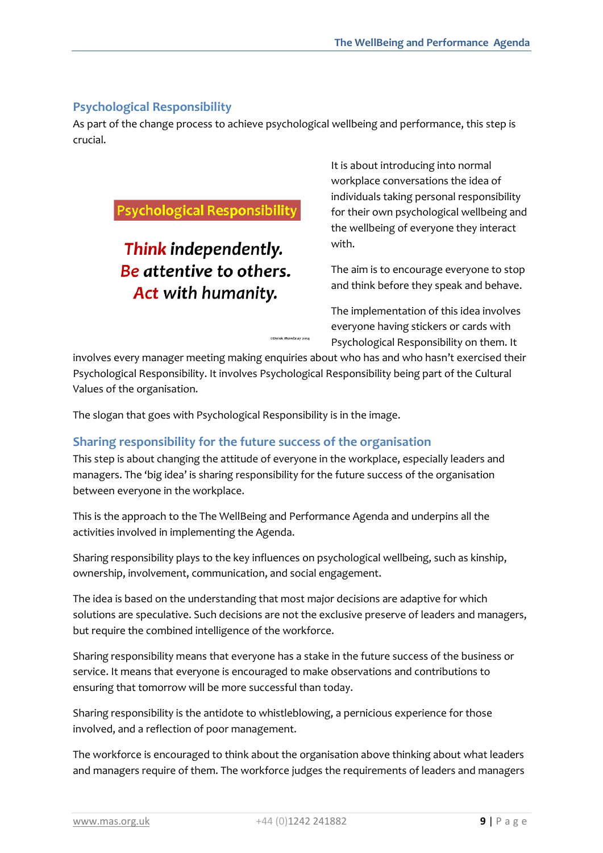#### **Psychological Responsibility**

As part of the change process to achieve psychological wellbeing and performance, this step is crucial.

## **Psychological Responsibility**

## Think independently. Be attentive to others. Act with humanity.

It is about introducing into normal workplace conversations the idea of individuals taking personal responsibility for their own psychological wellbeing and the wellbeing of everyone they interact with.

The aim is to encourage everyone to stop and think before they speak and behave.

The implementation of this idea involves everyone having stickers or cards with Psychological Responsibility on them. It

involves every manager meeting making enquiries about who has and who hasn't exercised their Psychological Responsibility. It involves Psychological Responsibility being part of the Cultural Values of the organisation.

**©Derek Mowbray 2014** 

The slogan that goes with Psychological Responsibility is in the image.

#### **Sharing responsibility for the future success of the organisation**

This step is about changing the attitude of everyone in the workplace, especially leaders and managers. The 'big idea' is sharing responsibility for the future success of the organisation between everyone in the workplace.

This is the approach to the The WellBeing and Performance Agenda and underpins all the activities involved in implementing the Agenda.

Sharing responsibility plays to the key influences on psychological wellbeing, such as kinship, ownership, involvement, communication, and social engagement.

The idea is based on the understanding that most major decisions are adaptive for which solutions are speculative. Such decisions are not the exclusive preserve of leaders and managers, but require the combined intelligence of the workforce.

Sharing responsibility means that everyone has a stake in the future success of the business or service. It means that everyone is encouraged to make observations and contributions to ensuring that tomorrow will be more successful than today.

Sharing responsibility is the antidote to whistleblowing, a pernicious experience for those involved, and a reflection of poor management.

The workforce is encouraged to think about the organisation above thinking about what leaders and managers require of them. The workforce judges the requirements of leaders and managers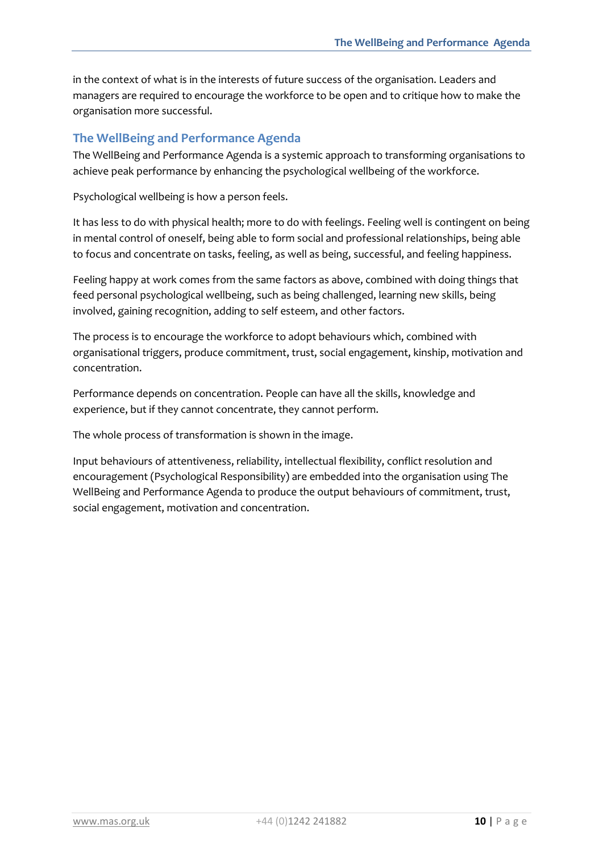in the context of what is in the interests of future success of the organisation. Leaders and managers are required to encourage the workforce to be open and to critique how to make the organisation more successful.

#### **The WellBeing and Performance Agenda**

The WellBeing and Performance Agenda is a systemic approach to transforming organisations to achieve peak performance by enhancing the psychological wellbeing of the workforce.

Psychological wellbeing is how a person feels.

It has less to do with physical health; more to do with feelings. Feeling well is contingent on being in mental control of oneself, being able to form social and professional relationships, being able to focus and concentrate on tasks, feeling, as well as being, successful, and feeling happiness.

Feeling happy at work comes from the same factors as above, combined with doing things that feed personal psychological wellbeing, such as being challenged, learning new skills, being involved, gaining recognition, adding to self esteem, and other factors.

The process is to encourage the workforce to adopt behaviours which, combined with organisational triggers, produce commitment, trust, social engagement, kinship, motivation and concentration.

Performance depends on concentration. People can have all the skills, knowledge and experience, but if they cannot concentrate, they cannot perform.

The whole process of transformation is shown in the image.

Input behaviours of attentiveness, reliability, intellectual flexibility, conflict resolution and encouragement (Psychological Responsibility) are embedded into the organisation using The WellBeing and Performance Agenda to produce the output behaviours of commitment, trust, social engagement, motivation and concentration.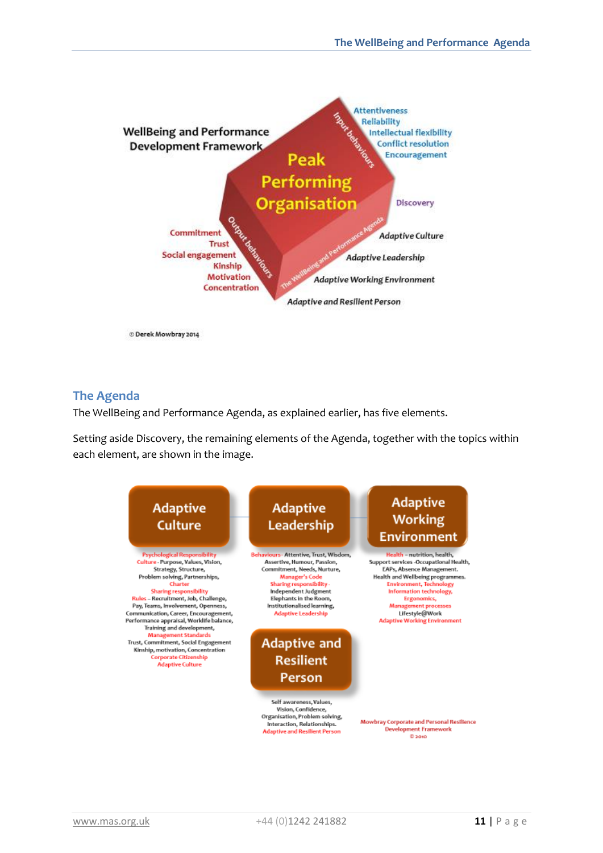

C Derek Mowbray 2014

#### **The Agenda**

The WellBeing and Performance Agenda, as explained earlier, has five elements.

Setting aside Discovery, the remaining elements of the Agenda, together with the topics within each element, are shown in the image.

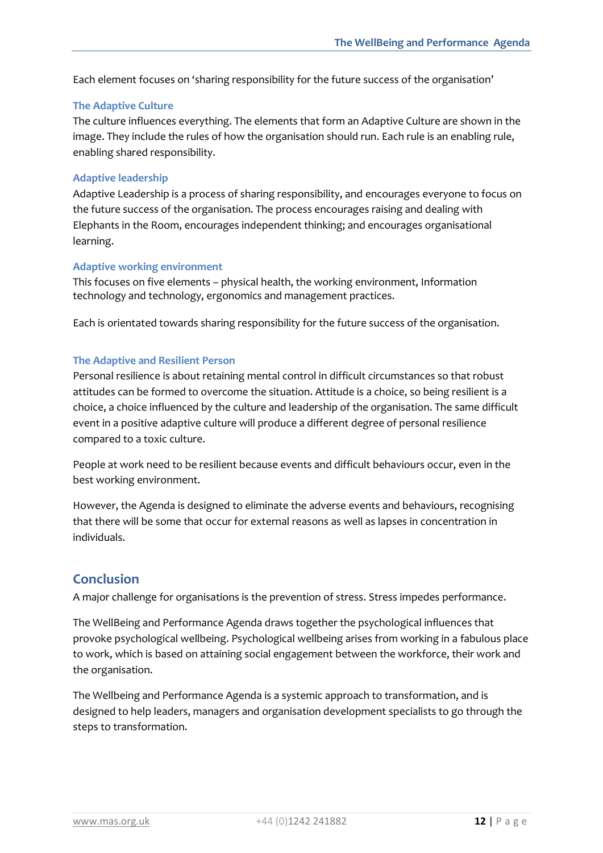Each element focuses on 'sharing responsibility for the future success of the organisation'

#### **The Adaptive Culture**

The culture influences everything. The elements that form an Adaptive Culture are shown in the image. They include the rules of how the organisation should run. Each rule is an enabling rule, enabling shared responsibility.

#### **Adaptive leadership**

Adaptive Leadership is a process of sharing responsibility, and encourages everyone to focus on the future success of the organisation. The process encourages raising and dealing with Elephants in the Room, encourages independent thinking; and encourages organisational learning.

#### **Adaptive working environment**

This focuses on five elements – physical health, the working environment, Information technology and technology, ergonomics and management practices.

Each is orientated towards sharing responsibility for the future success of the organisation.

#### **The Adaptive and Resilient Person**

Personal resilience is about retaining mental control in difficult circumstances so that robust attitudes can be formed to overcome the situation. Attitude is a choice, so being resilient is a choice, a choice influenced by the culture and leadership of the organisation. The same difficult event in a positive adaptive culture will produce a different degree of personal resilience compared to a toxic culture.

People at work need to be resilient because events and difficult behaviours occur, even in the best working environment.

However, the Agenda is designed to eliminate the adverse events and behaviours, recognising that there will be some that occur for external reasons as well as lapses in concentration in individuals.

#### **Conclusion**

A major challenge for organisations is the prevention of stress. Stress impedes performance.

The WellBeing and Performance Agenda draws together the psychological influences that provoke psychological wellbeing. Psychological wellbeing arises from working in a fabulous place to work, which is based on attaining social engagement between the workforce, their work and the organisation.

The Wellbeing and Performance Agenda is a systemic approach to transformation, and is designed to help leaders, managers and organisation development specialists to go through the steps to transformation.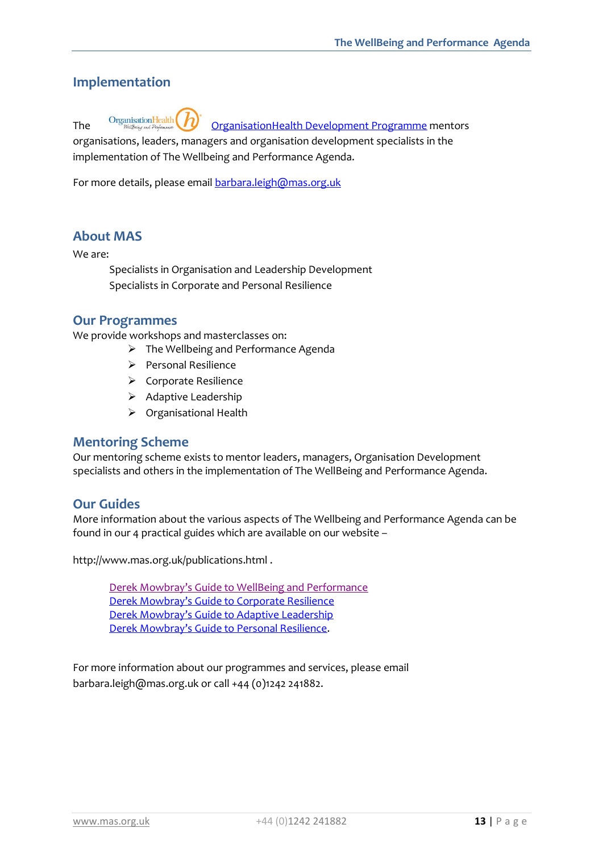## **Implementation**

The Organisation Health **D** Organisation Health Development Programme mentors

organisations, leaders, managers and organisation development specialists in the implementation of The Wellbeing and Performance Agenda.

For more details, please email [barbara.leigh@mas.org.uk](mailto:barbara.leigh@mas.org.uk)

#### **About MAS**

We are:

Specialists in Organisation and Leadership Development Specialists in Corporate and Personal Resilience

#### **Our Programmes**

We provide workshops and masterclasses on:

- $\triangleright$  The Wellbeing and Performance Agenda
	- $\triangleright$  Personal Resilience
	- ▶ Corporate Resilience
	- $\triangleright$  Adaptive Leadership
	- Organisational Health

#### **Mentoring Scheme**

Our mentoring scheme exists to mentor leaders, managers, Organisation Development specialists and others in the implementation of The WellBeing and Performance Agenda.

#### **Our Guides**

More information about the various aspects of The Wellbeing and Performance Agenda can be found in our 4 practical guides which are available on our website –

http://www.mas.org.uk/publications.html .

[Derek Mowbray's Guide to WellBeing and Pe](http://www.mas.org.uk/publications/wellbeing-performance-agenda.html)rformance [Derek Mowbray's Guide to Corporate Resilience](http://www.mas.org.uk/publications/corporate-resilience-guide.html) [Derek Mowbray's Guide to Adaptive Leadership](http://www.mas.org.uk/publications/adaptive-leadership-guide.html) [Derek Mowbray's Guide to Personal Resilience](http://www.mas.org.uk/publications/personal-resilience-guide.html).

For more information about our programmes and services, please email barbara.leigh@mas.org.uk or call +44 (0)1242 241882.